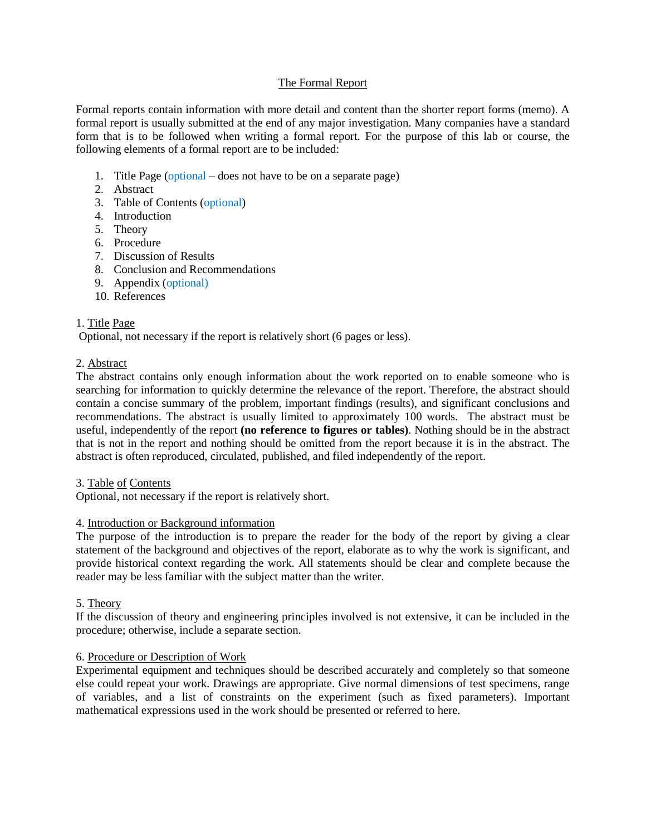## The Formal Report

Formal reports contain information with more detail and content than the shorter report forms (memo). A formal report is usually submitted at the end of any major investigation. Many companies have a standard form that is to be followed when writing a formal report. For the purpose of this lab or course, the following elements of a formal report are to be included:

- 1. Title Page (optional does not have to be on a separate page)
- 2. Abstract
- 3. Table of Contents (optional)
- 4. Introduction
- 5. Theory
- 6. Procedure
- 7. Discussion of Results
- 8. Conclusion and Recommendations
- 9. Appendix (optional)
- 10. References

# 1. Title Page

Optional, not necessary if the report is relatively short (6 pages or less).

## 2. Abstract

The abstract contains only enough information about the work reported on to enable someone who is searching for information to quickly determine the relevance of the report. Therefore, the abstract should contain a concise summary of the problem, important findings (results), and significant conclusions and recommendations. The abstract is usually limited to approximately 100 words. The abstract must be useful, independently of the report **(no reference to figures or tables)**. Nothing should be in the abstract that is not in the report and nothing should be omitted from the report because it is in the abstract. The abstract is often reproduced, circulated, published, and filed independently of the report.

## 3. Table of Contents

Optional, not necessary if the report is relatively short.

## 4. Introduction or Background information

The purpose of the introduction is to prepare the reader for the body of the report by giving a clear statement of the background and objectives of the report, elaborate as to why the work is significant, and provide historical context regarding the work. All statements should be clear and complete because the reader may be less familiar with the subject matter than the writer.

## 5. Theory

If the discussion of theory and engineering principles involved is not extensive, it can be included in the procedure; otherwise, include a separate section.

## 6. Procedure or Description of Work

Experimental equipment and techniques should be described accurately and completely so that someone else could repeat your work. Drawings are appropriate. Give normal dimensions of test specimens, range of variables, and a list of constraints on the experiment (such as fixed parameters). Important mathematical expressions used in the work should be presented or referred to here.